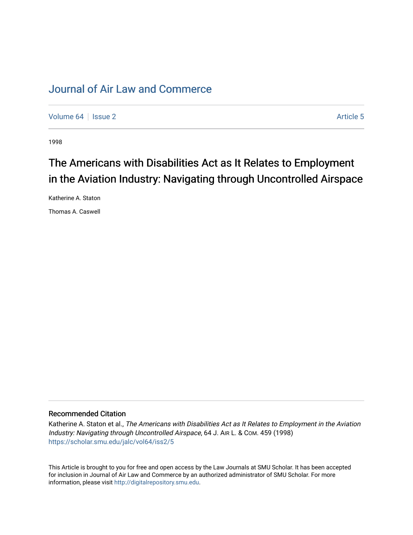## [Journal of Air Law and Commerce](https://scholar.smu.edu/jalc)

[Volume 64](https://scholar.smu.edu/jalc/vol64) | [Issue 2](https://scholar.smu.edu/jalc/vol64/iss2) Article 5

1998

# The Americans with Disabilities Act as It Relates to Employment in the Aviation Industry: Navigating through Uncontrolled Airspace

Katherine A. Staton

Thomas A. Caswell

## Recommended Citation

Katherine A. Staton et al., The Americans with Disabilities Act as It Relates to Employment in the Aviation Industry: Navigating through Uncontrolled Airspace, 64 J. AIR L. & COM. 459 (1998) [https://scholar.smu.edu/jalc/vol64/iss2/5](https://scholar.smu.edu/jalc/vol64/iss2/5?utm_source=scholar.smu.edu%2Fjalc%2Fvol64%2Fiss2%2F5&utm_medium=PDF&utm_campaign=PDFCoverPages) 

This Article is brought to you for free and open access by the Law Journals at SMU Scholar. It has been accepted for inclusion in Journal of Air Law and Commerce by an authorized administrator of SMU Scholar. For more information, please visit [http://digitalrepository.smu.edu](http://digitalrepository.smu.edu/).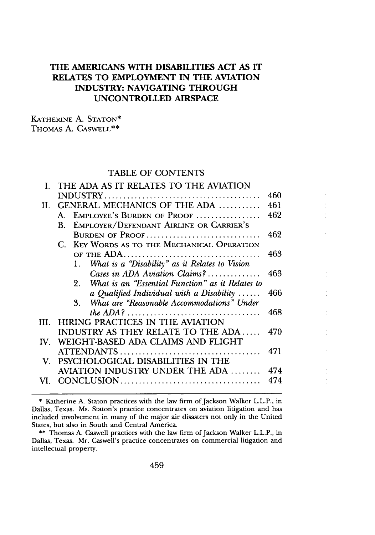## **THE AMERICANS WITH DISABILITIES ACT AS IT RELATES TO EMPLOYMENT IN THE AVIATION INDUSTRY: NAVIGATING THROUGH UNCONTROLLED AIRSPACE**

KATHERINE A. STATON\* THOMAS A. CASWELL\*\*

### TABLE OF CONTENTS

|                      | I. THE ADA AS IT RELATES TO THE AVIATION                    |     |  |
|----------------------|-------------------------------------------------------------|-----|--|
|                      |                                                             | 460 |  |
| Н.                   | <b>GENERAL MECHANICS OF THE ADA </b>                        | 461 |  |
|                      | EMPLOYEE'S BURDEN OF PROOF<br>$A_{-}$                       | 462 |  |
|                      | <b>EMPLOYER/DEFENDANT AIRLINE OR CARRIER'S</b><br>$\bf{B}$  |     |  |
|                      | BURDEN OF PROOF                                             | 462 |  |
|                      | C. KEY WORDS AS TO THE MECHANICAL OPERATION                 |     |  |
|                      |                                                             | 463 |  |
|                      | What is a "Disability" as it Relates to Vision<br>1.        |     |  |
|                      | Cases in ADA Aviation Claims?                               | 463 |  |
|                      | What is an "Essential Function" as it Relates to<br>$2_{-}$ |     |  |
|                      | a Qualified Individual with a Disability                    | 466 |  |
|                      | What are "Reasonable Accommodations" Under<br>3.            |     |  |
|                      |                                                             | 468 |  |
| HL.                  | HIRING PRACTICES IN THE AVIATION                            |     |  |
|                      | INDUSTRY AS THEY RELATE TO THE ADA                          | 470 |  |
|                      | IV. WEIGHT-BASED ADA CLAIMS AND FLIGHT                      |     |  |
|                      |                                                             | 471 |  |
| $\mathbf{V}_{\cdot}$ | PSYCHOLOGICAL DISABILITIES IN THE                           |     |  |
|                      | AVIATION INDUSTRY UNDER THE ADA                             | 474 |  |
| VI.                  |                                                             | 474 |  |

\* Katherine A. Staton practices with the law firm of Jackson Walker L.L.P., in Dallas, Texas. Ms. Staton's practice concentrates on aviation litigation and has included involvement in many of the major air disasters not only in the United States, but also in South and Central America.

\*\* Thomas A. Caswell practices with the law firm of Jackson Walker L.L.P., in Dallas, Texas. Mr. Caswell's practice concentrates on commercial litigation and intellectual property.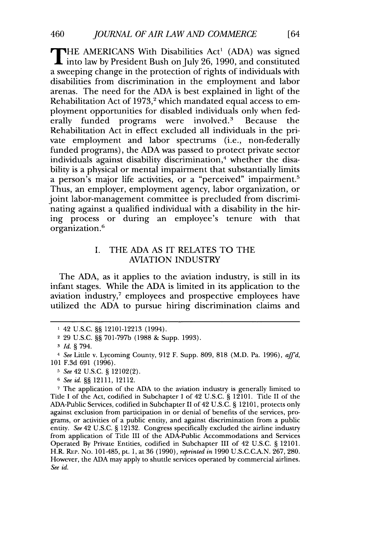THE AMERICANS With Disabilities Act<sup>1</sup> (ADA) was signed into law by President Bush on July 26, 1990, and constituted a sweeping change in the protection of rights of individuals with disabilities from discrimination in the employment and labor arenas. The need for the ADA is best explained in light of the Rehabilitation Act of 1973,<sup>2</sup> which mandated equal access to employment opportunities for disabled individuals only when federally funded programs were involved.<sup>3</sup> Because the Rehabilitation Act in effect excluded all individuals in the private employment and labor spectrums (i.e., non-federally funded programs), the ADA was passed to protect private sector individuals against disability discrimination,<sup>4</sup> whether the disability is a physical or mental impairment that substantially limits a person's major life activities, or a "perceived" impairment.<sup>5</sup> Thus, an employer, employment agency, labor organization, or joint labor-management committee is precluded from discriminating against a qualified individual with a disability in the hiring process or during an employee's tenure with that organization.'

## I. THE ADA AS IT RELATES TO THE AVIATION INDUSTRY

The ADA, as it applies to the aviation industry, is still in its infant stages. While the ADA is limited in its application to the aviation industry,<sup>7</sup> employees and prospective employees have utilized the ADA to pursue hiring discrimination claims and

<sup>42</sup> U.S.C. §§ 12101-12213 (1994).

<sup>2</sup> 29 U.S.C. §§ 701-797b (1988 & Supp. 1993).

*<sup>3</sup> Id.* § 794.

*<sup>4</sup> See* Little v. Lycoming County, 912 F. Supp. 809, 818 (M.D. Pa. 1996), *affd,* 101 F.3d 691 (1996).

*<sup>5</sup> See* 42 U.S.C. § 12102(2).

**<sup>6</sup>** *See id.* §§ 12111, 12112.

**<sup>7</sup>**The application of the ADA to the aviation industry is generally limited to Title I of the Act, codified in Subchapter I of 42 U.S.C. § 12101. Title II of the ADA-Public Services, codified in Subchapter II of 42 U.S.C. § 12101, protects only against exclusion from participation in or denial of benefits of the services, programs, or activities of a public entity, and against discrimination from a public entity. *See* 42 U.S.C. § 12132. Congress specifically excluded the airline industry from application of Title III of the ADA-Public Accommodations and Services Operated By Private Entities, codified in Subchapter III of 42 U.S.C. § 12101. H.R. REP. No. 101485, pt. 1, at 36 (1990), *reprinted in* 1990 U.S.C.C.A.N. 267, 280. However, the ADA may apply to shuttle services operated by commercial airlines. *See id.*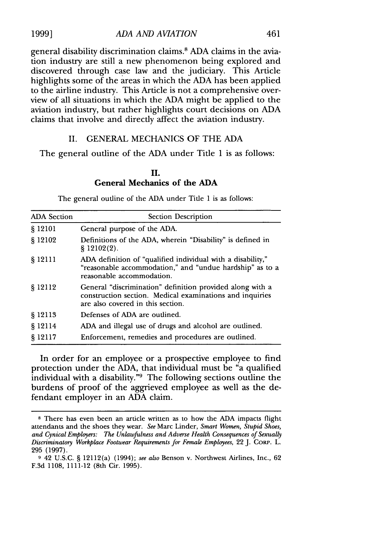general disability discrimination claims.8 ADA claims in the aviation industry are still a new phenomenon being explored and discovered through case law and the judiciary. This Article highlights some of the areas in which the ADA has been applied to the airline industry. This Article is not a comprehensive overview of all situations in which the ADA might be applied to the aviation industry, but rather highlights court decisions on ADA claims that involve and directly affect the aviation industry.

#### II. GENERAL MECHANICS OF THE ADA

The general outline of the ADA under Title 1 is as follows:

## **II. General Mechanics of the ADA**

The general outline of the **ADA** under Title **1** is as follows:

| <b>ADA</b> Section | <b>Section Description</b>                                                                                                                                 |  |
|--------------------|------------------------------------------------------------------------------------------------------------------------------------------------------------|--|
| § 12101            | General purpose of the ADA.                                                                                                                                |  |
| § 12102            | Definitions of the ADA, wherein "Disability" is defined in<br>$$12102(2)$ .                                                                                |  |
| § 12111            | ADA definition of "qualified individual with a disability,"<br>"reasonable accommodation," and "undue hardship" as to a<br>reasonable accommodation.       |  |
| § 12112            | General "discrimination" definition provided along with a<br>construction section. Medical examinations and inquiries<br>are also covered in this section. |  |
| § 12113            | Defenses of ADA are outlined.                                                                                                                              |  |
| § 12114            | ADA and illegal use of drugs and alcohol are outlined.                                                                                                     |  |
| \$12117            | Enforcement, remedies and procedures are outlined.                                                                                                         |  |

In order for an employee or a prospective employee to find protection under the ADA, that individual must be "a qualified individual with a disability."9 The following sections outline the burdens of proof of the aggrieved employee as well as the defendant employer in an ADA claim.

**<sup>8</sup>** There has even been an article written as to how the ADA impacts flight attendants and the shoes they wear. *See* Marc Linder, *Smart Women, Stupid Shoes, and Cynical Employers: The Unlawfulness and Adverse Health Consequences of Sexually Discriminatory Workplace Footwear Requirements for Female Employees,* 22 **J.** CoRP. L. 295 (1997).

**<sup>9</sup>** 42 U.S.C. § 12112(a) (1994); *see also* Benson v. Northwest Airlines, Inc., 62 F.3d 1108, 1111-12 (8th Cir. 1995).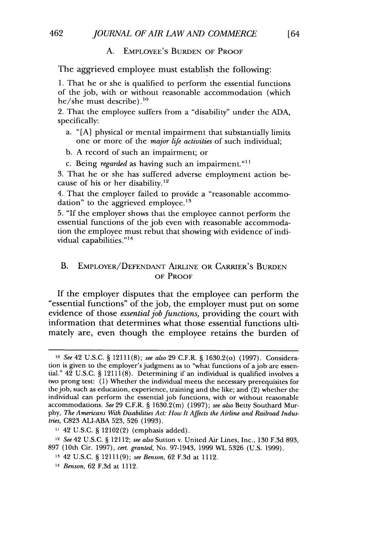#### A. EMPLOYEE'S BURDEN OF PROOF

The aggrieved employee must establish the following:

1. That he or she is qualified to perform the essential functions of the job, with or without reasonable accommodation (which he/she must describe). $^{10}$ 

2. That the employee suffers from a "disability" under the ADA, specifically:

- a. "[A] physical or mental impairment that substantially limits one or more of the *major* life *activities* of such individual;
- b. A record of such an impairment; or
- c. Being *regarded* as having such an impairment.""

3. That he or she has suffered adverse employment action because of his or her disability.12

4. That the employer failed to provide a "reasonable accommodation" to the aggrieved employee.<sup>15</sup>

5. "If the employer shows that the employee cannot perform the essential functions of the job even with reasonable accommodation the employee must rebut that showing with evidence of individual capabilities."<sup>14</sup>

#### B. EMPLOYER/DEFENDANT AIRLINE OR CARRIER'S BURDEN OF PROOF

If the employer disputes that the employee can perform the essential functions" of the job, the employer must put on some evidence of those *essential job functions,* providing the court with information that determines what those essential functions ultimately are, even though the employee retains the burden of

*<sup>10</sup> See* 42 U.S.C. § 12111(8); *see also* 29 C.F.R. § 1630.2(o) (1997). Consideration is given to the employer's judgment as to "what functions of ajob are essential." 42 U.S.C. § 12111(8). Determining if an individual is qualified involves a two prong test: (1) Whether the individual meets the necessary prerequisites for the job, such as education, experience, training and the like; and (2) whether the individual can perform the essential job functions, with or without reasonable accommodations. *See* 29 C.F.R. § 1630.2(m) (1997); *see also* Betty Southard Murphy, *The Americans With Disabilities Act: How It Affects the Airline and Railroad Industries,* C823 ALI-ABA 523, 526 (1993).

**<sup>11</sup>** 42 U.S.C. § 12102(2) (emphasis added).

<sup>12</sup>*See* 42 U.S.C. § 12112; *see also* Sutton v. United Air Lines, Inc., 130 F.3d 893, 897 (10th Cir. 1997), *cert. granted,* No. 97-1943, 1999 WL 5326 (U.S. 1999).

**<sup>13</sup>** 42 U.S.C. § 12111(9); *see Benson,* 62 F.3d at 1112.

<sup>14</sup> *Benson,* 62 F.3d at 1112.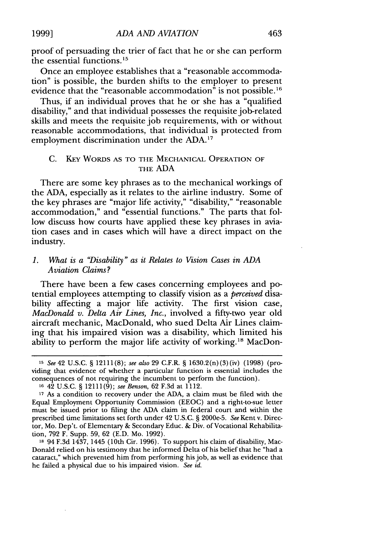proof of persuading the trier of fact that he or she can perform the essential functions. $15$ 

Once an employee establishes that a "reasonable accommodation" is possible, the burden shifts to the employer to present evidence that the "reasonable accommodation" is not possible.<sup>16</sup>

Thus, if an individual proves that he or she has a "qualified disability," and that individual possesses the requisite job-related skills and meets the requisite job requirements, with or without reasonable accommodations, that individual is protected from employment discrimination under the ADA.'"

#### C. KEY WORDS AS TO THE MECHANICAL OPERATION OF THE ADA

There are some key phrases as to the mechanical workings of the ADA, especially as it relates to the airline industry. Some of the key phrases are "major life activity," "disability," "reasonable accommodation," and "essential functions." The parts that follow discuss how courts have applied these key phrases in aviation cases and in cases which will have a direct impact on the industry.

#### *1. What is a "Disability" as it Relates to Vision Cases in ADA Aviation Claims?*

There have been a few cases concerning employees and potential employees attempting to classify vision as a *perceived* disability affecting a major life activity. The first vision case, *MacDonald v. Delta Air Lines, Inc.,* involved a fifty-two year old aircraft mechanic, MacDonald, who sued Delta Air Lines claiming that his impaired vision was a disability, which limited his ability to perform the major life activity of working.<sup>18</sup> MacDon-

**is** 94 F.3d 1437, 1445 (10th Cir. 1996). To support his claim of disability, Mac-Donald relied on his testimony that he informed Delta of his belief that he "had a cataract," which prevented him from performing his job, as well as evidence that he failed a physical due to his impaired vision. *See id.*

*<sup>15</sup> See* 42 U.S.C. § 12111(8); *see also* 29 C.F.R. § 1630.2(n) (3) (iv) (1998) (providing that evidence of whether a particular function is essential includes the consequences of not requiring the incumbent to perform the function).

**<sup>16</sup>**42 U.S.C. § 12111(9); *see Benson,* 62 F.3d at 1112.

**<sup>17</sup>**As a condition to recovery under the ADA, a claim must be filed with the Equal Employment Opportunity Commission (EEOC) and a right-to-sue letter must be issued prior to filing the ADA claim in federal court and within the prescribed time limitations set forth under 42 U.S.C. § 2000e-5. *See* Kent v. Director, Mo. Dep't. of Elementary & Secondary Educ. & Div. of Vocational Rehabilitation, 792 F. Supp. 59, 62 (E.D. Mo. 1992).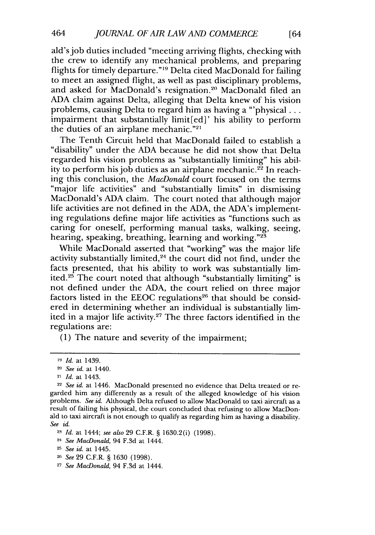ald's job duties included "meeting arriving flights, checking with the crew to identify any mechanical problems, and preparing flights for timely departure."'9 Delta cited MacDonald for failing to meet an assigned flight, as well as past disciplinary problems, and asked for MacDonald's resignation.20 MacDonald filed an ADA claim against Delta, alleging that Delta knew of his vision problems, causing Delta to regard him as having a "'physical... impairment that substantially limit[ed]' his ability to perform the duties of an airplane mechanic."<sup>21</sup>

The Tenth Circuit held that MacDonald failed to establish a "disability" under the ADA because he did not show that Delta regarded his vision problems as "substantially limiting" his ability to perform his job duties as an airplane mechanic. 22 In reaching this conclusion, the *MacDonald* court focused on the terms "major life activities" and "substantially limits" in dismissing MacDonald's ADA claim. The court noted that although major life activities are not defined in the ADA, the ADA's implementing regulations define major life activities as "functions such as caring for oneself, performing manual tasks, walking, seeing, hearing, speaking, breathing, learning and working. **"23**

While MacDonald asserted that "working" was the major life activity substantially limited, 24 the court did not find, under the facts presented, that his ability to work was substantially limited.25 The court noted that although "substantially limiting" is not defined under the ADA, the court relied on three major factors listed in the EEOC regulations<sup>26</sup> that should be considered in determining whether an individual is substantially limited in a major life activity.<sup>27</sup> The three factors identified in the regulations are:

(1) The nature and severity of the impairment;

**<sup>19</sup>** *Id.* at 1439.

*<sup>20</sup> See id.* at 1440.

<sup>21</sup> *Id.* at 1443.

<sup>22</sup> *See id.* at 1446. MacDonald presented no evidence that Delta treated or regarded him any differently as a result of the alleged knowledge of his vision problems. *See id.* Although Delta refused to allow MacDonald to taxi aircraft as a result of failing his physical, the court concluded that refusing to allow MacDonald to taxi aircraft is not enough to qualify as regarding him as having a disability. *See id.*

**<sup>23</sup>***Id.* at 1444; *see also* 29 C.F.R. § 1630.2(i) (1998).

<sup>24</sup> *See MacDonald,* 94 F.3d at 1444.

<sup>25</sup>*See id.* at 1445.

*<sup>26</sup>See* 29 C.F.R. § 1630 (1998).

**<sup>27</sup>** *See MacDonald,* 94 F.3d at 1444.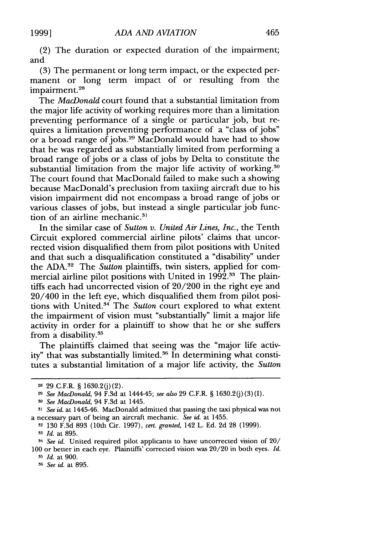(2) The duration or expected duration of the impairment; and

(3) The permanent or long term impact, or the expected permanent or long term impact of or resulting from the impairment. <sup>28</sup>

The *MacDonald* court found that a substantial limitation from the major life activity of working requires more than a limitation preventing performance of a single or particular job, but requires a limitation preventing performance of a "class of jobs" or a broad range of jobs.29 MacDonald would have had to show that he was regarded as substantially limited from performing a broad range of jobs or a class of jobs by Delta to constitute the substantial limitation from the major life activity of working.<sup>30</sup> The court found that MacDonald failed to make such a showing because MacDonald's preclusion from taxiing aircraft due to his vision impairment did not encompass a broad range of jobs or various classes of jobs, but instead a single particular job function of an airline mechanic.<sup>31</sup>

In the similar case of *Sutton v. United Air Lines, Inc.,* the Tenth Circuit explored commercial airline pilots' claims that uncorrected vision disqualified them from pilot positions with United and that such a disqualification constituted a "disability" under the ADA. 32 The *Sutton* plaintiffs, twin sisters, applied for commercial airline pilot positions with United in  $1992.^{33}$  The plaintiffs each had uncorrected vision of 20/200 in the right eye and 20/400 in the left eye, which disqualified them from pilot positions with United.<sup>34</sup> The *Sutton* court explored to what extent the impairment of vision must "substantially" limit a major life activity in order for a plaintiff to show that he or she suffers from a disability.<sup>35</sup>

The plaintiffs claimed that seeing was the "major life activity" that was substantially limited.<sup>36</sup> In determining what constitutes a substantial limitation of a major life activity, the *Sutton*

*<sup>35</sup>Id.* at 900.

**<sup>36</sup>***See id.* at 895.

**<sup>28</sup>**29 C.F.R. § 1630.2(j) (2).

**<sup>29</sup>***See MacDonald,* 94 F.3d at 1444-45; *see also* 29 C.F.R. § 1630.2(j) (3) (I).

**<sup>30</sup>***See MacDonald,* 94 F.3d at 1445.

*<sup>31</sup> See id.* at 1445-46. MacDonald admitted that passing the taxi physical was not a necessary part of being an aircraft mechanic. *See id.* at 1455.

**<sup>32</sup>**130 F.3d 893 (10th Cir. 1997), *cert. granted,* 142 L. Ed. 2d 28 (1999). **<sup>33</sup>***Id.* at 895.

<sup>34</sup>*See id.* United required pilot applicants to have uncorrected vision of 20/ 100 or better in each eye. Plaintiffs' corrected vision was 20/20 in both eyes. *Id.*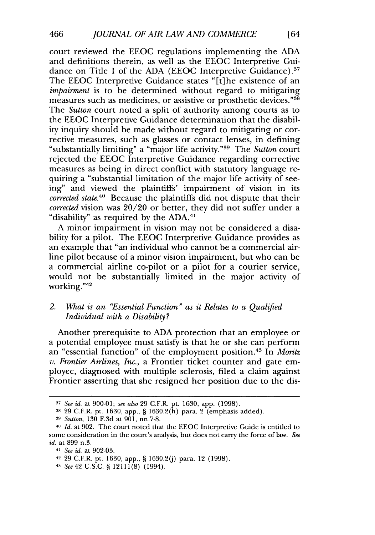court reviewed the EEOC regulations implementing the ADA and definitions therein, as well as the EEOC Interpretive Guidance on Title I of the ADA (EEOC Interpretive Guidance).<sup>37</sup> The EEOC Interpretive Guidance states "[t]he existence of an *impairment* is to be determined without regard to mitigating measures such as medicines, or assistive or prosthetic devices."38 The *Sutton* court noted a split of authority among courts as to the EEOC Interpretive Guidance determination that the disability inquiry should be made without regard to mitigating or corrective measures, such as glasses or contact lenses, in defining "substantially limiting" a "major life activity."<sup>39</sup> The *Sutton* court rejected the EEOC Interpretive Guidance regarding corrective measures as being in direct conflict with statutory language requiring a "substantial limitation of the major life activity of seeing" and viewed the plaintiffs' impairment of vision in its *corrected state."'* Because the plaintiffs did not dispute that their *corrected* vision was 20/20 or better, they did not suffer under a "disability" as required by the ADA.<sup>41</sup>

A minor impairment in vision may not be considered a disability for a pilot. The EEOC Interpretive Guidance provides as an example that "an individual who cannot be a commercial airline pilot because of a minor vision impairment, but who can be a commercial airline co-pilot or a pilot for a courier service, would not be substantially limited in the major activity of working. **"42**

## *2. What is an "Essential Function" as it Relates to a Qualified Individual with a Disability?*

Another prerequisite to ADA protection that an employee or a potential employee must satisfy is that he or she can perform an "essential function" of the employment position.4" In *Moritz v. Frontier Airlines, Inc.,* a Frontier ticket counter and gate employee, diagnosed with multiple sclerosis, filed a claim against Frontier asserting that she resigned her position due to the dis-

**<sup>37</sup>***See id.* at **900-01;** *see also* 29 C.F.R. pt. 1630, app. (1998).

**<sup>38</sup>**29 C.F.R. pt. 1630, app., § 1630.2(h) para. 2 (emphasis added).

<sup>3</sup> *Sutton,* 130 F.3d at 901, nn.7-8.

*<sup>40</sup> Id.* at 902. The court noted that the EEOC Interpretive Guide is entitled to some consideration in the court's analysis, but does not carry the force of law. *See id.* at 899 n.3.

*<sup>41</sup> See id.* at 902-03.

<sup>42</sup>29 C.F.R. pt. 1630, app., § 1630.2(j) para. 12 (1998).

*<sup>43</sup> See* 42 U.S.C. § 12111(8) (1994).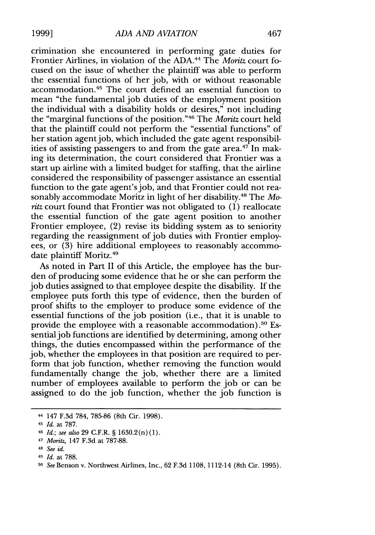crimination she encountered in performing gate duties for Frontier Airlines, in violation of the ADA.44 The *Moritz* court focused on the issue of whether the plaintiff was able to perform the essential functions of her job, with or without reasonable accommodation. 45 The court defined an essential function to mean "the fundamental job duties of the employment position the individual with a disability holds or desires," not including the "marginal functions of the position."46 The *Moritz* court held that the plaintiff could not perform the "essential functions" of her station agent job, which included the gate agent responsibilities of assisting passengers to and from the gate area.47 In making its determination, the court considered that Frontier was a start up airline with a limited budget for staffing, that the airline considered the responsibility of passenger assistance an essential function to the gate agent's job, and that Frontier could not reasonably accommodate Moritz in light of her disability.<sup>48</sup> The Mo*ritz* court found that Frontier was not obligated to (1) reallocate the essential function of the gate agent position to another Frontier employee, (2) revise its bidding system as to seniority regarding the reassignment of job duties with Frontier employees, or (3) hire additional employees to reasonably accommodate plaintiff Moritz.49

As noted in Part II of this Article, the employee has the burden of producing some evidence that he or she can perform the **job** duties assigned to that employee despite the disability. If the employee puts forth this type of evidence, then the burden of proof shifts to the employer to produce some evidence of the essential functions of the job position (i.e., that it is unable to provide the employee with a reasonable accommodation) **.5** Essential job functions are identified by determining, among other things, the duties encompassed within the performance of the job, whether the employees in that position are required to perform that **job** function, whether removing the function would fundamentally change the job, whether there are a limited number of employees available to perform the **job** or can be assigned to do the **job** function, whether the **job** function is

**<sup>-</sup>** 147 F.3d 784, 785-86 (8th Cir. 1998).

*<sup>45</sup> Id.* at **787.**

<sup>46</sup>*Id.; see also* 29 C.F.R. § 1630.2(n) (1).

**<sup>47</sup>***Moritz,* 147 F.3d at 787-88.

<sup>48</sup>*See id.*

<sup>49</sup>*Id.* at 788.

**<sup>50</sup>***See* Benson v. Northwest Airlines, Inc., 62 F.3d 1108, 1112-14 (8th Cir. 1995).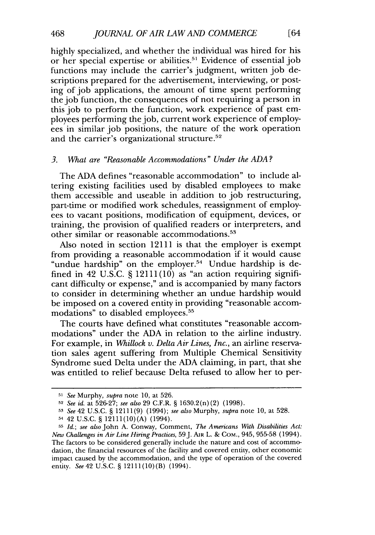468

highly specialized, and whether the individual was hired for his or her special expertise or abilities.51 Evidence of essential job functions may include the carrier's judgment, written job descriptions prepared for the advertisement, interviewing, or posting of job applications, the amount of time spent performing the job function, the consequences of not requiring a person in this job to perform the function, work experience of past employees performing the job, current work experience of employees in similar job positions, the nature of the work operation and the carrier's organizational structure.<sup>52</sup>

#### *3. What are "Reasonable Accommodations" Under the ADA?*

The ADA defines "reasonable accommodation" to include altering existing facilities used by disabled employees to make them accessible and useable in addition to job restructuring, part-time or modified work schedules, reassignment of employees to vacant positions, modification of equipment, devices, or training, the provision of qualified readers or interpreters, and other similar or reasonable accommodations.53

Also noted in section 12111 is that the employer is exempt from providing a reasonable accommodation if it would cause "undue hardship" on the employer.<sup>54</sup> Undue hardship is defined in 42 U.S.C.  $\S$  12111(10) as "an action requiring significant difficulty or expense," and is accompanied by many factors to consider in determining whether an undue hardship would be imposed on a covered entity in providing "reasonable accommodations" to disabled employees.55

The courts have defined what constitutes "reasonable accommodations" under the ADA in relation to the airline industry. For example, in *Whillock v. Delta Air Lines, Inc.,* an airline reservation sales agent suffering from Multiple Chemical Sensitivity Syndrome sued Delta under the ADA claiming, in part, that she was entitled to relief because Delta refused to allow her to per-

[64]

*<sup>51</sup>See* Murphy, *supra* note 10, at 526.

*<sup>52</sup>See id.* at 526-27; *see also* 29 C.F.R. § 1630.2(n) (2) (1998).

*<sup>53</sup>See* 42 U.S.C. § 12111(9) (1994); *see also* Murphy, *supra* note 10, at 528.

<sup>&</sup>lt;sup>54</sup> 42 U.S.C. § 12111(10)(A) (1994).

*<sup>55</sup> Id.; see also* John A. Conway, Comment, *The Americans With Disabilities Act: New Challenges in Air Line Hiring Practices,* 59J. Am L. & COM., 945, 955-58 (1994). The factors to **be** considered generally include the nature and cost of accommodation, the financial resources of the facility and covered entity, other economic impact caused by the accommodation, and the type of operation of the covered entity. *See* 42 U.S.C. § 12111(10) (B) (1994).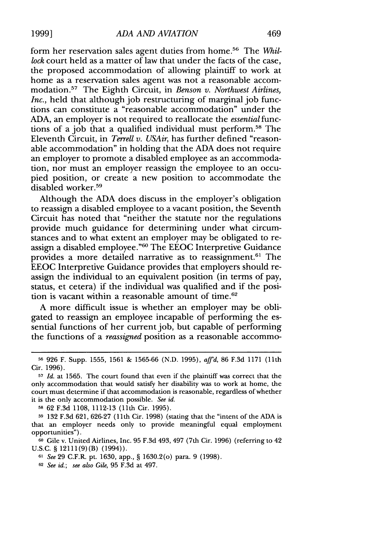form her reservation sales agent duties from home.<sup>56</sup> The *Whillock* court held as a matter of law that under the facts of the case. the proposed accommodation of allowing plaintiff to work at home as a reservation sales agent was not a reasonable accommodation. 57 The Eighth Circuit, in *Benson v. Northwest Airlines, Inc., held that although job restructuring of marginal job func*tions can constitute a "reasonable accommodation" under the ADA, an employer is not required to reallocate the *essential* functions of a job that a qualified individual must perform. 58 The Eleventh Circuit, in *Terrell v. USAir,* has further defined "reasonable accommodation" in holding that the ADA does not require an employer to promote a disabled employee as an accommodation, nor must an employer reassign the employee to an occupied position, or create a new position to accommodate the disabled worker.<sup>59</sup>

Although the ADA does discuss in the employer's obligation to reassign a disabled employee to a vacant position, the Seventh Circuit has noted that "neither the statute nor the regulations provide much guidance for determining under what circumstances and to what extent an employer may be obligated to reassign a disabled employee."<sup>60</sup> The EEOC Interpretive Guidance provides a more detailed narrative as to reassignment.<sup>61</sup> The EEOC Interpretive Guidance provides that employers should reassign the individual to an equivalent position (in terms of pay, status, et cetera) if the individual was qualified and if the position is vacant within a reasonable amount of time. $62$ 

A more difficult issue is whether an employer may be obligated to reassign an employee incapable of performing the essential functions of her current job, but capable of performing the functions of a *reassigned* position as a reasonable accommo-

**<sup>56</sup>**926 F. Supp. 1555, 1561 & 1565-66 (N.D. 1995), *affd,* 86 F.3d 1171 (lth Cir. 1996).

<sup>58</sup>62 F.3d 1108, 1112-13 (l1th Cir. 1995).

**<sup>59</sup>**132 F.3d 621, 626-27 **(11th** Cir. 1998) (stating that the "intent of the ADA is that an employer needs only to provide meaningful equal employment opportunities").

60 Gile v. United Airlines, Inc. 95 F.3d 493, 497 (7th Cir. 1996) (referring to 42 **U.S.C.** § 12111(9) (B) (1994)).

**<sup>61</sup>***See* 29 C.F.R. pt. 1630, app., § 1630.2(o) para. 9 (1998).

**<sup>62</sup>***See id.; see also Gile,* 95 F.3d at 497.

*<sup>57</sup>Id.* at 1565. The court found that even if the plaintiff was correct that the only accommodation that would satisfy her disability was to work at home, the court must determine if that accommodation is reasonable, regardless of whether it is the only accommodation possible. *See id.*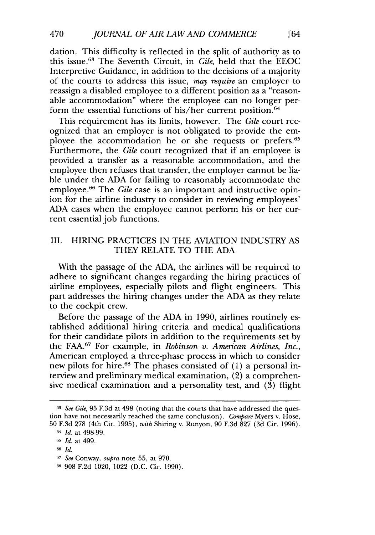dation. This difficulty is reflected in the split of authority as to this issue.<sup>63</sup> The Seventh Circuit, in *Gile*, held that the EEOC Interpretive Guidance, in addition to the decisions of a majority of the courts to address this issue, *may require* an employer to reassign a disabled employee to a different position as a "reasonable accommodation" where the employee can no longer perform the essential functions of his/her current position.<sup>64</sup>

This requirement has its limits, however. The *Gile* court recognized that an employer is not obligated to provide the employee the accommodation he or she requests or prefers.65 Furthermore, the *Gile* court recognized that if an employee is provided a transfer as a reasonable accommodation, and the employee then refuses that transfer, the employer cannot be liable under the ADA for failing to reasonably accommodate the employee. 66 The *Gile* case is an important and instructive opinion for the airline industry to consider in reviewing employees' ADA cases when the employee cannot perform his or her current essential job functions.

## III. HIRING PRACTICES IN THE AVIATION INDUSTRY AS THEY RELATE TO THE ADA

With the passage of the ADA, the airlines will be required to adhere to significant changes regarding the hiring practices of airline employees, especially pilots and flight engineers. This part addresses the hiring changes under the ADA as they relate to the cockpit crew.

Before the passage of the ADA in 1990, airlines routinely established additional hiring criteria and medical qualifications for their candidate pilots in addition to the requirements set by the FAA.67 For example, in *Robinson v. American Airlines, Inc.,* American employed a three-phase process in which to consider new pilots for hire.<sup>68</sup> The phases consisted of  $(1)$  a personal interview and preliminary medical examination, (2) a comprehensive medical examination and a personality test, and  $(3)$  flight

*<sup>63</sup> See Gile,* 95 F.3d at 498 (noting that the courts that have addressed the question have not necessarily reached the same conclusion). *Compare* Myers v. Hose, 50 F.3d 278 (4th Cir. 1995), *with* Shiring v. Runyon, 90 F.3d 827 (3d Cir. 1996).

*<sup>64</sup> Id.* at 498-99.

**<sup>65</sup>***Id.* at 499.

**<sup>66</sup>***Id.*

**<sup>67</sup>***See* Conway, *supra* note 55, at 970.

**<sup>68</sup>** 908 F.2d 1020, 1022 (D.C. Cir. 1990).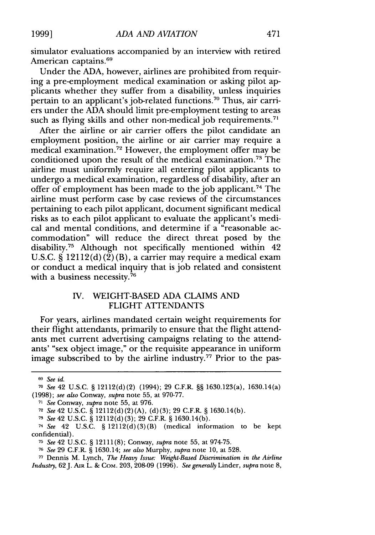simulator evaluations accompanied by an interview with retired American captains.<sup>69</sup>

Under the ADA, however, airlines are prohibited from requiring a pre-employment medical examination or asking pilot applicants whether they suffer from a disability, unless inquiries pertain to an applicant's job-related functions.<sup>70</sup> Thus, air carriers under the ADA should limit pre-employment testing to areas such as flying skills and other non-medical job requirements.<sup>71</sup>

After the airline or air carrier offers the pilot candidate an employment position, the airline or air carrier may require a medical examination.72 However, the employment offer may be conditioned upon the result of the medical examination.7" The airline must uniformly require all entering pilot applicants to undergo a medical examination, regardless of disability, after an offer of employment has been made to the job applicant.<sup>74</sup> The airline must perform case by case reviews of the circumstances pertaining to each pilot applicant, document significant medical risks as to each pilot applicant to evaluate the applicant's medical and mental conditions, and determine if a "reasonable accommodation" will reduce the direct threat posed by the disability.<sup>75</sup> Although not specifically mentioned within 42 U.S.C. § 12112(d) $(\overline{2})(B)$ , a carrier may require a medical exam or conduct a medical inquiry that is job related and consistent with a business necessity. $76$ 

## IV. WEIGHT-BASED ADA CLAIMS AND FLIGHT ATTENDANTS

For years, airlines mandated certain weight requirements for their flight attendants, primarily to ensure that the flight attendants met current advertising campaigns relating to the attendants' "sex object image," or the requisite appearance in uniform image subscribed to by the airline industry.<sup>77</sup> Prior to the pas-

*<sup>-</sup> See id.*

**<sup>70</sup>** *See* 42 U.S.C. § 12112(d)(2) (1994); 29 C.F.R. §§ 1630.123(a), 1630.14(a) (1998); *see also* Conway, *supra* note **55,** at 970-77.

**<sup>71</sup>** *See* Conway, *supra* note **55,** at 976.

**<sup>72</sup>***See 42* U.S.C. § 12112(d) (2) (A), (d)(3); 29 C.F.R. § 1630.14(b).

*<sup>71</sup>See 42* U.S.C. § 12112(d) (3); 29 C.F.R. § 1630.14(b).

*<sup>74</sup>See* 42 U.S.C. § 12112(d)(3)(B) (medical information to be kept confidential).

*<sup>-</sup> See* 42 U.S.C. § 12111(8); Conway, *supra* note 55, at 974-75.

**<sup>76</sup>***See* 29 C.F.R. § 1630.14; *see also* Murphy, *supra* note 10, at 528.

**<sup>77</sup>**Dennis M. Lynch, *The Heavy Issue: Weight-Based Discrimination in the Airline Industry,* 62J. **AIR** L. & COM. 203, 208-09 (1996). *See generally* Linder, *supra note* 8,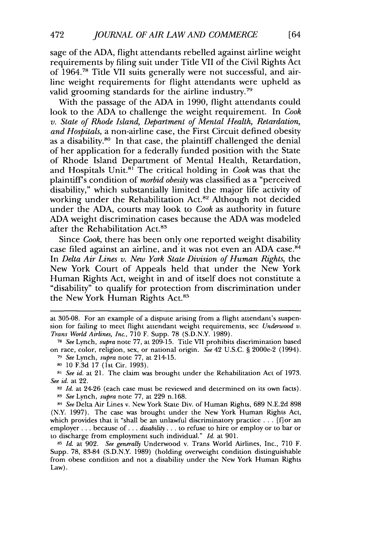sage of the ADA, flight attendants rebelled against airline weight requirements by filing suit under Title VII of the Civil Rights Act of 1964.78 Title VII suits generally were not successful, and airline weight requirements for flight attendants were upheld as valid grooming standards for the airline industry.<sup>79</sup>

With the passage of the ADA in 1990, flight attendants could look to the ADA to challenge the weight requirement. In *Cook v. State of Rhode Island, Department of Mental Health, Retardation, and Hospitals,* a non-airline case, the First Circuit defined obesity as a disability.<sup>80</sup> In that case, the plaintiff challenged the denial of her application for a federally funded position with the State of Rhode Island Department of Mental Health, Retardation, and Hospitals Unit.<sup>81</sup> The critical holding in *Cook* was that the plaintiff's condition of *morbid obesity* was classified as a "perceived disability," which substantially limited the major life activity of working under the Rehabilitation Act.<sup>82</sup> Although not decided under the ADA, courts may look to *Cook* as authority in future ADA weight discrimination cases because the ADA was modeled after the Rehabilitation Act.<sup>83</sup>

Since *Cook,* there has been only one reported weight disability case filed against an airline, and it was not even an ADA case.<sup>84</sup> In *Delta Air Lines v. New York State Division of Human Rights,* the New York Court of Appeals held that under the New York Human Rights Act, weight in and of itself does not constitute a "disability" to qualify for protection from discrimination under the New York Human Rights Act.<sup>85</sup>

 $[64]$ 

at 305-08. For an example of a dispute arising from a flight attendant's suspension for failing to meet flight attendant weight requirements, see *Underwood v. Trans World Airlines, Inc.,* 710 F. Supp. 78 (S.D.N.Y. 1989).

**<sup>78</sup>** *See* Lynch, *supra* note 77, at 209-15. Title VII prohibits discrimination based on race, color, religion, sex, or national origin. *See* 42 U.S.C. § 2000e-2 (1994).

**<sup>7,</sup>** *See* Lynch, *supra* note 77, at 214-15.

**<sup>80</sup>** 10 F.3d 17 (1st Cir. 1993).

*<sup>8&#</sup>x27; See id.* at 21. The claim was brought under the Rehabilitation Act of 1973. *See id.* at 22.

**<sup>82</sup>***Id.* at 24-26 (each case must be reviewed and determined on its own facts). **8.** *See* Lynch, *supra* note 77, at 229 n.168.

<sup>84</sup>*See* Delta Air Lines v. New York State Div. of Human Rights, 689 N.E.2d 898 (N.Y. 1997). The case was brought under the New York Human Rights Act, which provides that it "shall be an unlawful discriminatory practice  $\dots$  [f] or an employer **...** because of **...** *disability* **...** to refuse to hire or employ or to bar or to discharge from employment such individual." *Id.* at 901.

<sup>85</sup>*Id.* at 902. *See generally* Underwood v. Trans World Airlines, Inc., 710 F. Supp. 78, 83-84 (S.D.N.Y. 1989) (holding overweight condition distinguishable from obese condition and not a disability under the New York Human Rights Law).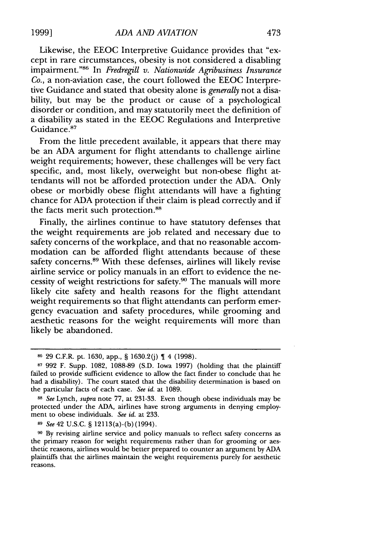Likewise, the EEOC Interpretive Guidance provides that "except in rare circumstances, obesity is not considered a disabling impairment."<sup>86</sup> In *Fredregill v. Nationwide Agribusiness Insurance Co.,* a non-aviation case, the court followed the EEOC Interpretive Guidance and stated that obesity alone is *generally* not a disability, but may be the product or cause of a psychological disorder or condition, and may statutorily meet the definition of a disability as stated in the EEOC Regulations and Interpretive Guidance.87

From the little precedent available, it appears that there may be an ADA argument for flight attendants to challenge airline weight requirements; however, these challenges will be very fact specific, and, most likely, overweight but non-obese flight attendants will not be afforded protection under the ADA. Only obese or morbidly obese flight attendants will have a fighting chance for ADA protection if their claim is plead correctly and if the facts merit such protection.<sup>88</sup>

Finally, the airlines continue to have statutory defenses that the weight requirements are job related and necessary due to safety concerns of the workplace, and that no reasonable accommodation can be afforded flight attendants because of these safety concerns.<sup>89</sup> With these defenses, airlines will likely revise airline service or policy manuals in an effort to evidence the necessity of weight restrictions for safety.90 The manuals will more likely cite safety and health reasons for the flight attendant weight requirements so that flight attendants can perform emergency evacuation and safety procedures, while grooming and aesthetic reasons for the weight requirements will more than likely be abandoned.

<sup>88</sup>*See* Lynch, *supra* note 77, at 231-33. Even though obese individuals may be protected under the ADA, airlines have strong arguments in denying employment to obese individuals. *See id.* at 233.

*89 See* 42 U.S.C. § 12113(a)-(b)(1994).

**<sup>90</sup>**By revising airline service and policy manuals to reflect safety concerns as the primary reason for weight requirements rather than for grooming or aesthetic reasons, airlines would be better prepared to counter an argument by ADA plaintiffs that the airlines maintain the weight requirements purely for aesthetic reasons.

**<sup>86</sup>**29 C.F.R. pt. 1630, app., § 1630.2(j) 4 (1998).

**<sup>87</sup>**992 F. Supp. 1082, 1088-89 (S.D. Iowa 1997) (holding that the plaintiff failed to provide sufficient evidence to allow the fact finder to conclude that he had a disability). The court stated that the disability determination is based on the particular facts of each case. *See id.* at 1089.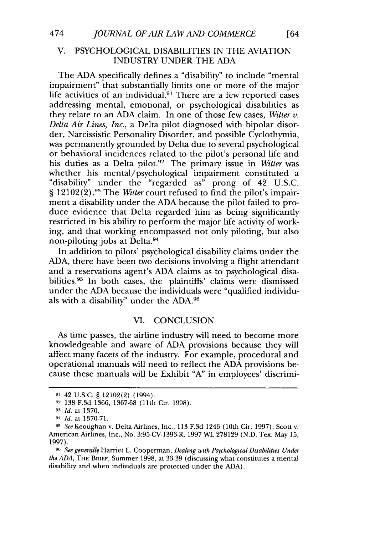## V. PSYCHOLOGICAL DISABILITIES IN THE AVIATION INDUSTRY UNDER THE ADA

The ADA specifically defines a "disability" to include "mental impairment" that substantially limits one or more of the major life activities of an individual.<sup>91</sup> There are a few reported cases addressing mental, emotional, or psychological disabilities as they relate to an ADA claim. In one of those few cases, *Witter v. Delta Air Lines, Inc.,* a Delta pilot diagnosed with bipolar disorder, Narcissistic Personality Disorder, and possible Cyclothymia, was permanently grounded by Delta due to several psychological or behavioral incidences related to the pilot's personal life and his duties as a Delta pilot.92 The primary issue in *Witter* was whether his mental/psychological impairment constituted a "disability" under the "regarded as" prong of 42 U.S.C.  $\S 12102(2)$ .<sup>93</sup> The *Witter* court refused to find the pilot's impairment a disability under the ADA because the pilot failed to produce evidence that Delta regarded him as being significantly restricted in his ability to perform the major life activity of working, and that working encompassed not only piloting, but also non-piloting jobs at Delta.94

In addition to pilots' psychological disability claims under the ADA, there have been two decisions involving a flight attendant and a reservations agent's ADA claims as to psychological disabilities. 95 In both cases, the plaintiffs' claims were dismissed under the ADA because the individuals were "qualified individuals with a disability" under the ADA.<sup>96</sup>

## VI. CONCLUSION

As time passes, the airline industry will need to become more knowledgeable and aware of ADA provisions because they will affect many facets of the industry. For example, procedural and operational manuals will need to reflect the ADA provisions because these manuals will be Exhibit "A" in employees' discrimi-

**<sup>91</sup>** 42 U.S.C. § 12102(2) (1994).

<sup>92 138</sup> F.3d 1366, 1367-68 (11th Cir. 1998).

**<sup>93</sup>***Id.* at 1370.

**<sup>9</sup>***Id.* at 1370-71.

**<sup>95</sup>***See* Keoughan v. Delta Airlines, Inc., 113 F.3d 1246 (10th Cir. 1997); Scott v. American Airlines, Inc., No. 3:95-CV-1393-R, 1997 WL 278129 (N.D. Tex. May 15, 1997).

**<sup>96</sup>***See generally* Harriet E. Cooperman, *Dealing with Psychological Disabilities Under the ADA*, THE BRIEF, Summer 1998, at 33-39 (discussing what constitutes a mental disability and when individuals are protected under the ADA).